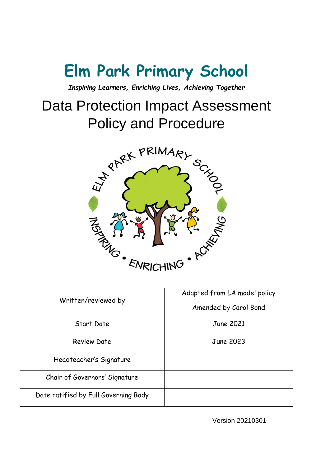# **Elm Park Primary School**

*Inspiring Learners, Enriching Lives, Achieving Together*

# Data Protection Impact Assessment Policy and Procedure



| Written/reviewed by                  | Adapted from LA model policy<br>Amended by Carol Bond |
|--------------------------------------|-------------------------------------------------------|
| Start Date                           | June 2021                                             |
| <b>Review Date</b>                   | <b>June 2023</b>                                      |
| Headteacher's Signature              |                                                       |
| Chair of Governors' Signature        |                                                       |
| Date ratified by Full Governing Body |                                                       |

Version 20210301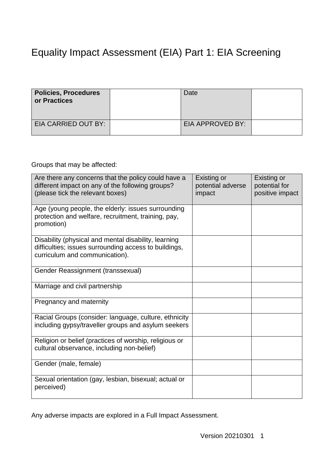# Equality Impact Assessment (EIA) Part 1: EIA Screening

| <b>Policies, Procedures</b><br>or Practices | Date             |  |
|---------------------------------------------|------------------|--|
| EIA CARRIED OUT BY:                         | EIA APPROVED BY: |  |

Groups that may be affected:

| Are there any concerns that the policy could have a<br>different impact on any of the following groups?<br>(please tick the relevant boxes)     | Existing or<br>potential adverse<br>impact | Existing or<br>potential for<br>positive impact |
|-------------------------------------------------------------------------------------------------------------------------------------------------|--------------------------------------------|-------------------------------------------------|
| Age (young people, the elderly: issues surrounding<br>protection and welfare, recruitment, training, pay,<br>promotion)                         |                                            |                                                 |
| Disability (physical and mental disability, learning<br>difficulties; issues surrounding access to buildings,<br>curriculum and communication). |                                            |                                                 |
| Gender Reassignment (transsexual)                                                                                                               |                                            |                                                 |
| Marriage and civil partnership                                                                                                                  |                                            |                                                 |
| Pregnancy and maternity                                                                                                                         |                                            |                                                 |
| Racial Groups (consider: language, culture, ethnicity<br>including gypsy/traveller groups and asylum seekers                                    |                                            |                                                 |
| Religion or belief (practices of worship, religious or<br>cultural observance, including non-belief)                                            |                                            |                                                 |
| Gender (male, female)                                                                                                                           |                                            |                                                 |
| Sexual orientation (gay, lesbian, bisexual; actual or<br>perceived)                                                                             |                                            |                                                 |

Any adverse impacts are explored in a Full Impact Assessment.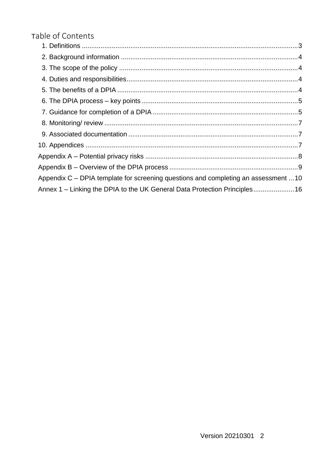### Table of Contents

| Appendix C - DPIA template for screening questions and completing an assessment  10 |  |
|-------------------------------------------------------------------------------------|--|
| Annex 1 - Linking the DPIA to the UK General Data Protection Principles16           |  |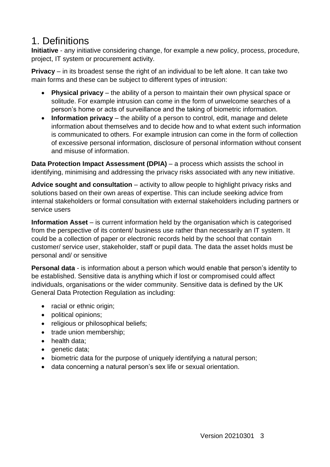## <span id="page-3-0"></span>1. Definitions

**Initiative** - any initiative considering change, for example a new policy, process, procedure, project, IT system or procurement activity.

**Privacy** – in its broadest sense the right of an individual to be left alone. It can take two main forms and these can be subject to different types of intrusion:

- **Physical privacy** the ability of a person to maintain their own physical space or solitude. For example intrusion can come in the form of unwelcome searches of a person's home or acts of surveillance and the taking of biometric information.
- **Information privacy** the ability of a person to control, edit, manage and delete information about themselves and to decide how and to what extent such information is communicated to others. For example intrusion can come in the form of collection of excessive personal information, disclosure of personal information without consent and misuse of information.

**Data Protection Impact Assessment (DPIA)** – a process which assists the school in identifying, minimising and addressing the privacy risks associated with any new initiative.

**Advice sought and consultation** – activity to allow people to highlight privacy risks and solutions based on their own areas of expertise. This can include seeking advice from internal stakeholders or formal consultation with external stakeholders including partners or service users

**Information Asset** – is current information held by the organisation which is categorised from the perspective of its content/ business use rather than necessarily an IT system. It could be a collection of paper or electronic records held by the school that contain customer/ service user, stakeholder, staff or pupil data. The data the asset holds must be personal and/ or sensitive

**Personal data** - is information about a person which would enable that person's identity to be established. Sensitive data is anything which if lost or compromised could affect individuals, organisations or the wider community. Sensitive data is defined by the UK General Data Protection Regulation as including:

- racial or ethnic origin;
- political opinions;
- religious or philosophical beliefs;
- trade union membership;
- health data:
- genetic data;
- biometric data for the purpose of uniquely identifying a natural person;
- data concerning a natural person's sex life or sexual orientation.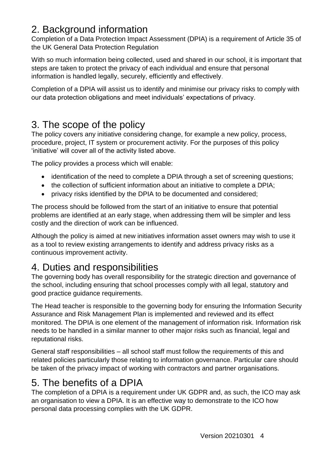## <span id="page-4-0"></span>2. Background information

Completion of a Data Protection Impact Assessment (DPIA) is a requirement of Article 35 of the UK General Data Protection Regulation

With so much information being collected, used and shared in our school, it is important that steps are taken to protect the privacy of each individual and ensure that personal information is handled legally, securely, efficiently and effectively.

Completion of a DPIA will assist us to identify and minimise our privacy risks to comply with our data protection obligations and meet individuals' expectations of privacy.

# <span id="page-4-1"></span>3. The scope of the policy

The policy covers any initiative considering change, for example a new policy, process, procedure, project, IT system or procurement activity. For the purposes of this policy 'initiative' will cover all of the activity listed above.

The policy provides a process which will enable:

- identification of the need to complete a DPIA through a set of screening questions;
- the collection of sufficient information about an initiative to complete a DPIA:
- privacy risks identified by the DPIA to be documented and considered;

The process should be followed from the start of an initiative to ensure that potential problems are identified at an early stage, when addressing them will be simpler and less costly and the direction of work can be influenced.

Although the policy is aimed at new initiatives information asset owners may wish to use it as a tool to review existing arrangements to identify and address privacy risks as a continuous improvement activity.

# <span id="page-4-2"></span>4. Duties and responsibilities

The governing body has overall responsibility for the strategic direction and governance of the school, including ensuring that school processes comply with all legal, statutory and good practice guidance requirements.

The Head teacher is responsible to the governing body for ensuring the Information Security Assurance and Risk Management Plan is implemented and reviewed and its effect monitored. The DPIA is one element of the management of information risk. Information risk needs to be handled in a similar manner to other major risks such as financial, legal and reputational risks.

General staff responsibilities – all school staff must follow the requirements of this and related policies particularly those relating to information governance. Particular care should be taken of the privacy impact of working with contractors and partner organisations.

# <span id="page-4-3"></span>5. The benefits of a DPIA

The completion of a DPIA is a requirement under UK GDPR and, as such, the ICO may ask an organisation to view a DPIA. It is an effective way to demonstrate to the ICO how personal data processing complies with the UK GDPR.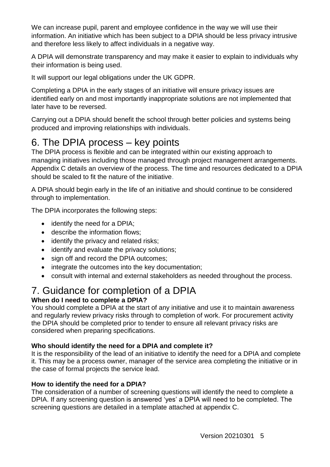We can increase pupil, parent and employee confidence in the way we will use their information. An initiative which has been subject to a DPIA should be less privacy intrusive and therefore less likely to affect individuals in a negative way.

A DPIA will demonstrate transparency and may make it easier to explain to individuals why their information is being used.

It will support our legal obligations under the UK GDPR.

Completing a DPIA in the early stages of an initiative will ensure privacy issues are identified early on and most importantly inappropriate solutions are not implemented that later have to be reversed.

Carrying out a DPIA should benefit the school through better policies and systems being produced and improving relationships with individuals.

# <span id="page-5-0"></span>6. The DPIA process – key points

The DPIA process is flexible and can be integrated within our existing approach to managing initiatives including those managed through project management arrangements. Appendix C details an overview of the process. The time and resources dedicated to a DPIA should be scaled to fit the nature of the initiative.

A DPIA should begin early in the life of an initiative and should continue to be considered through to implementation.

The DPIA incorporates the following steps:

- identify the need for a DPIA:
- describe the information flows;
- identify the privacy and related risks:
- identify and evaluate the privacy solutions;
- sign off and record the DPIA outcomes;
- integrate the outcomes into the key documentation;
- consult with internal and external stakeholders as needed throughout the process.

### <span id="page-5-1"></span>7. Guidance for completion of a DPIA **When do I need to complete a DPIA?**

You should complete a DPIA at the start of any initiative and use it to maintain awareness and regularly review privacy risks through to completion of work. For procurement activity the DPIA should be completed prior to tender to ensure all relevant privacy risks are considered when preparing specifications.

### **Who should identify the need for a DPIA and complete it?**

It is the responsibility of the lead of an initiative to identify the need for a DPIA and complete it. This may be a process owner, manager of the service area completing the initiative or in the case of formal projects the service lead.

### **How to identify the need for a DPIA?**

The consideration of a number of screening questions will identify the need to complete a DPIA. If any screening question is answered 'yes' a DPIA will need to be completed. The screening questions are detailed in a template attached at appendix C.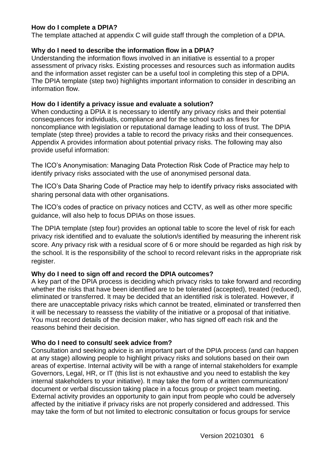#### **How do I complete a DPIA?**

The template attached at appendix C will guide staff through the completion of a DPIA.

#### **Why do I need to describe the information flow in a DPIA?**

Understanding the information flows involved in an initiative is essential to a proper assessment of privacy risks. Existing processes and resources such as information audits and the information asset register can be a useful tool in completing this step of a DPIA. The DPIA template (step two) highlights important information to consider in describing an information flow.

#### **How do I identify a privacy issue and evaluate a solution?**

When conducting a DPIA it is necessary to identify any privacy risks and their potential consequences for individuals, compliance and for the school such as fines for noncompliance with legislation or reputational damage leading to loss of trust. The DPIA template (step three) provides a table to record the privacy risks and their consequences. Appendix A provides information about potential privacy risks. The following may also provide useful information:

The ICO's Anonymisation: Managing Data Protection Risk Code of Practice may help to identify privacy risks associated with the use of anonymised personal data.

The ICO's Data Sharing Code of Practice may help to identify privacy risks associated with sharing personal data with other organisations.

The ICO's codes of practice on privacy notices and CCTV, as well as other more specific guidance, will also help to focus DPIAs on those issues.

The DPIA template (step four) provides an optional table to score the level of risk for each privacy risk identified and to evaluate the solution/s identified by measuring the inherent risk score. Any privacy risk with a residual score of 6 or more should be regarded as high risk by the school. It is the responsibility of the school to record relevant risks in the appropriate risk register.

### **Why do I need to sign off and record the DPIA outcomes?**

A key part of the DPIA process is deciding which privacy risks to take forward and recording whether the risks that have been identified are to be tolerated (accepted), treated (reduced), eliminated or transferred. It may be decided that an identified risk is tolerated. However, if there are unacceptable privacy risks which cannot be treated, eliminated or transferred then it will be necessary to reassess the viability of the initiative or a proposal of that initiative. You must record details of the decision maker, who has signed off each risk and the reasons behind their decision.

### **Who do I need to consult/ seek advice from?**

Consultation and seeking advice is an important part of the DPIA process (and can happen at any stage) allowing people to highlight privacy risks and solutions based on their own areas of expertise. Internal activity will be with a range of internal stakeholders for example Governors, Legal, HR, or IT (this list is not exhaustive and you need to establish the key internal stakeholders to your initiative). It may take the form of a written communication/ document or verbal discussion taking place in a focus group or project team meeting. External activity provides an opportunity to gain input from people who could be adversely affected by the initiative if privacy risks are not properly considered and addressed. This may take the form of but not limited to electronic consultation or focus groups for service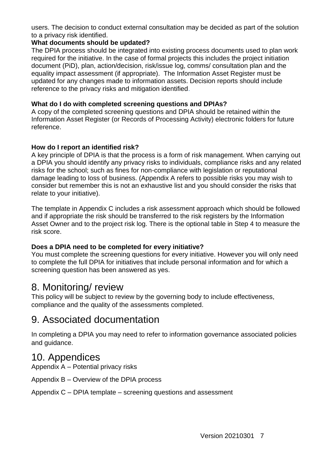users. The decision to conduct external consultation may be decided as part of the solution to a privacy risk identified.

#### **What documents should be updated?**

The DPIA process should be integrated into existing process documents used to plan work required for the initiative. In the case of formal projects this includes the project initiation document (PiD), plan, action/decision, risk/issue log, comms/ consultation plan and the equality impact assessment (if appropriate). The Information Asset Register must be updated for any changes made to information assets. Decision reports should include reference to the privacy risks and mitigation identified.

### **What do I do with completed screening questions and DPIAs?**

A copy of the completed screening questions and DPIA should be retained within the Information Asset Register (or Records of Processing Activity) electronic folders for future reference.

#### **How do I report an identified risk?**

A key principle of DPIA is that the process is a form of risk management. When carrying out a DPIA you should identify any privacy risks to individuals, compliance risks and any related risks for the school; such as fines for non-compliance with legislation or reputational damage leading to loss of business. (Appendix A refers to possible risks you may wish to consider but remember this is not an exhaustive list and you should consider the risks that relate to your initiative).

The template in Appendix C includes a risk assessment approach which should be followed and if appropriate the risk should be transferred to the risk registers by the Information Asset Owner and to the project risk log. There is the optional table in Step 4 to measure the risk score.

### **Does a DPIA need to be completed for every initiative?**

You must complete the screening questions for every initiative. However you will only need to complete the full DPIA for initiatives that include personal information and for which a screening question has been answered as yes.

### <span id="page-7-0"></span>8. Monitoring/ review

This policy will be subject to review by the governing body to include effectiveness, compliance and the quality of the assessments completed.

### <span id="page-7-1"></span>9. Associated documentation

In completing a DPIA you may need to refer to information governance associated policies and guidance.

### <span id="page-7-2"></span>10. Appendices

Appendix A – Potential privacy risks

Appendix B – Overview of the DPIA process

Appendix C – DPIA template – screening questions and assessment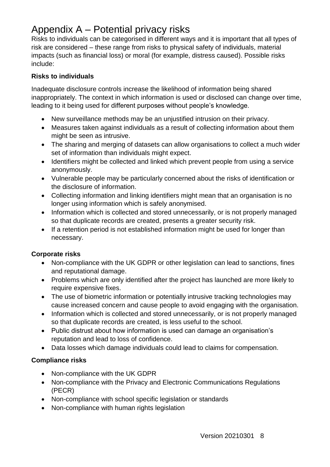# <span id="page-8-0"></span>Appendix A – Potential privacy risks

Risks to individuals can be categorised in different ways and it is important that all types of risk are considered – these range from risks to physical safety of individuals, material impacts (such as financial loss) or moral (for example, distress caused). Possible risks include:

### **Risks to individuals**

Inadequate disclosure controls increase the likelihood of information being shared inappropriately. The context in which information is used or disclosed can change over time, leading to it being used for different purposes without people's knowledge.

- New surveillance methods may be an uniustified intrusion on their privacy.
- Measures taken against individuals as a result of collecting information about them might be seen as intrusive.
- The sharing and merging of datasets can allow organisations to collect a much wider set of information than individuals might expect.
- Identifiers might be collected and linked which prevent people from using a service anonymously.
- Vulnerable people may be particularly concerned about the risks of identification or the disclosure of information.
- Collecting information and linking identifiers might mean that an organisation is no longer using information which is safely anonymised.
- Information which is collected and stored unnecessarily, or is not properly managed so that duplicate records are created, presents a greater security risk.
- If a retention period is not established information might be used for longer than necessary.

### **Corporate risks**

- Non-compliance with the UK GDPR or other legislation can lead to sanctions, fines and reputational damage.
- Problems which are only identified after the project has launched are more likely to require expensive fixes.
- The use of biometric information or potentially intrusive tracking technologies may cause increased concern and cause people to avoid engaging with the organisation.
- Information which is collected and stored unnecessarily, or is not properly managed so that duplicate records are created, is less useful to the school.
- Public distrust about how information is used can damage an organisation's reputation and lead to loss of confidence.
- Data losses which damage individuals could lead to claims for compensation.

### **Compliance risks**

- Non-compliance with the UK GDPR
- Non-compliance with the Privacy and Electronic Communications Regulations (PECR)
- Non-compliance with school specific legislation or standards
- Non-compliance with human rights legislation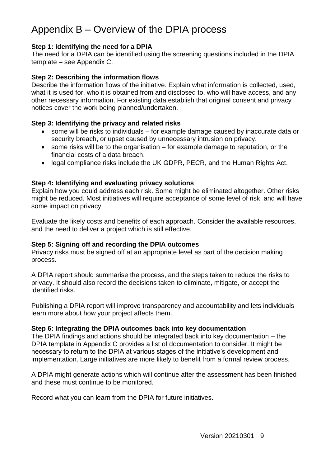# <span id="page-9-0"></span>Appendix B – Overview of the DPIA process

#### **Step 1: Identifying the need for a DPIA**

The need for a DPIA can be identified using the screening questions included in the DPIA template – see Appendix C.

#### **Step 2: Describing the information flows**

Describe the information flows of the initiative. Explain what information is collected, used, what it is used for, who it is obtained from and disclosed to, who will have access, and any other necessary information. For existing data establish that original consent and privacy notices cover the work being planned/undertaken.

### **Step 3: Identifying the privacy and related risks**

- some will be risks to individuals for example damage caused by inaccurate data or security breach, or upset caused by unnecessary intrusion on privacy.
- some risks will be to the organisation for example damage to reputation, or the financial costs of a data breach.
- legal compliance risks include the UK GDPR, PECR, and the Human Rights Act.

#### **Step 4: Identifying and evaluating privacy solutions**

Explain how you could address each risk. Some might be eliminated altogether. Other risks might be reduced. Most initiatives will require acceptance of some level of risk, and will have some impact on privacy.

Evaluate the likely costs and benefits of each approach. Consider the available resources, and the need to deliver a project which is still effective.

#### **Step 5: Signing off and recording the DPIA outcomes**

Privacy risks must be signed off at an appropriate level as part of the decision making process.

A DPIA report should summarise the process, and the steps taken to reduce the risks to privacy. It should also record the decisions taken to eliminate, mitigate, or accept the identified risks.

Publishing a DPIA report will improve transparency and accountability and lets individuals learn more about how your project affects them.

#### **Step 6: Integrating the DPIA outcomes back into key documentation**

The DPIA findings and actions should be integrated back into key documentation – the DPIA template in Appendix C provides a list of documentation to consider. It might be necessary to return to the DPIA at various stages of the initiative's development and implementation. Large initiatives are more likely to benefit from a formal review process.

A DPIA might generate actions which will continue after the assessment has been finished and these must continue to be monitored.

Record what you can learn from the DPIA for future initiatives.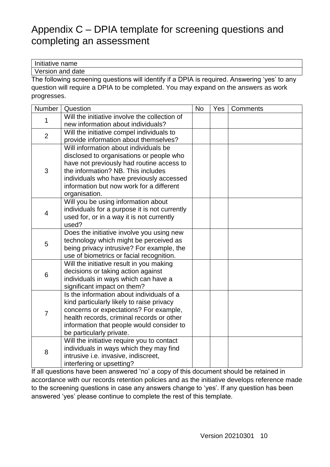# <span id="page-10-0"></span>Appendix C – DPIA template for screening questions and completing an assessment

Initiative name

Version and date

The following screening questions will identify if a DPIA is required. Answering 'yes' to any question will require a DPIA to be completed. You may expand on the answers as work progresses.

| Number         | Question                                      | <b>No</b> | Yes | Comments |
|----------------|-----------------------------------------------|-----------|-----|----------|
| 1              | Will the initiative involve the collection of |           |     |          |
|                | new information about individuals?            |           |     |          |
| $\overline{2}$ | Will the initiative compel individuals to     |           |     |          |
|                | provide information about themselves?         |           |     |          |
|                | Will information about individuals be         |           |     |          |
|                | disclosed to organisations or people who      |           |     |          |
|                | have not previously had routine access to     |           |     |          |
| 3              | the information? NB. This includes            |           |     |          |
|                | individuals who have previously accessed      |           |     |          |
|                | information but now work for a different      |           |     |          |
|                | organisation.                                 |           |     |          |
|                | Will you be using information about           |           |     |          |
| $\overline{4}$ | individuals for a purpose it is not currently |           |     |          |
|                | used for, or in a way it is not currently     |           |     |          |
|                | used?                                         |           |     |          |
|                | Does the initiative involve you using new     |           |     |          |
| 5              | technology which might be perceived as        |           |     |          |
|                | being privacy intrusive? For example, the     |           |     |          |
|                | use of biometrics or facial recognition.      |           |     |          |
|                | Will the initiative result in you making      |           |     |          |
| 6              | decisions or taking action against            |           |     |          |
|                | individuals in ways which can have a          |           |     |          |
|                | significant impact on them?                   |           |     |          |
|                | Is the information about individuals of a     |           |     |          |
|                | kind particularly likely to raise privacy     |           |     |          |
| $\overline{7}$ | concerns or expectations? For example,        |           |     |          |
|                | health records, criminal records or other     |           |     |          |
|                | information that people would consider to     |           |     |          |
|                | be particularly private.                      |           |     |          |
|                | Will the initiative require you to contact    |           |     |          |
|                | individuals in ways which they may find       |           |     |          |
| 8              | intrusive i.e. invasive, indiscreet,          |           |     |          |
|                | interfering or upsetting?                     |           |     |          |

If all questions have been answered 'no' a copy of this document should be retained in accordance with our records retention policies and as the initiative develops reference made to the screening questions in case any answers change to 'yes'. If any question has been answered 'yes' please continue to complete the rest of this template.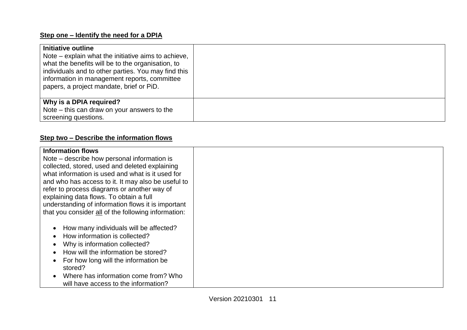### **Step one – Identify the need for a DPIA**

| Initiative outline<br>Note – explain what the initiative aims to achieve,<br>what the benefits will be to the organisation, to<br>individuals and to other parties. You may find this<br>information in management reports, committee<br>papers, a project mandate, brief or PiD. |  |
|-----------------------------------------------------------------------------------------------------------------------------------------------------------------------------------------------------------------------------------------------------------------------------------|--|
| Why is a DPIA required?<br>Note – this can draw on your answers to the<br>screening questions.                                                                                                                                                                                    |  |

### **Step two – Describe the information flows**

| <b>Information flows</b><br>Note – describe how personal information is<br>collected, stored, used and deleted explaining<br>what information is used and what is it used for |  |
|-------------------------------------------------------------------------------------------------------------------------------------------------------------------------------|--|
| and who has access to it. It may also be useful to                                                                                                                            |  |
| refer to process diagrams or another way of<br>explaining data flows. To obtain a full                                                                                        |  |
| understanding of information flows it is important<br>that you consider all of the following information:                                                                     |  |
| How many individuals will be affected?<br>How information is collected?                                                                                                       |  |
| Why is information collected?                                                                                                                                                 |  |
| How will the information be stored?                                                                                                                                           |  |
| For how long will the information be<br>stored?                                                                                                                               |  |
| Where has information come from? Who<br>will have access to the information?                                                                                                  |  |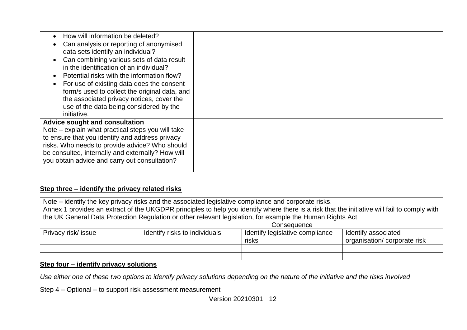| How will information be deleted?<br>Can analysis or reporting of anonymised<br>data sets identify an individual?<br>Can combining various sets of data result<br>in the identification of an individual?<br>Potential risks with the information flow?<br>For use of existing data does the consent<br>form/s used to collect the original data, and<br>the associated privacy notices, cover the<br>use of the data being considered by the<br>initiative. |  |
|-------------------------------------------------------------------------------------------------------------------------------------------------------------------------------------------------------------------------------------------------------------------------------------------------------------------------------------------------------------------------------------------------------------------------------------------------------------|--|
| Advice sought and consultation<br>Note – explain what practical steps you will take<br>to ensure that you identify and address privacy<br>risks. Who needs to provide advice? Who should<br>be consulted, internally and externally? How will<br>you obtain advice and carry out consultation?                                                                                                                                                              |  |

### **Step three – identify the privacy related risks**

| Note – identify the key privacy risks and the associated legislative compliance and corporate risks.<br>Annex 1 provides an extract of the UKGDPR principles to help you identify where there is a risk that the initiative will fail to comply with |                                                                                                                                 |                                                                                                            |  |  |  |  |  |  |  |
|------------------------------------------------------------------------------------------------------------------------------------------------------------------------------------------------------------------------------------------------------|---------------------------------------------------------------------------------------------------------------------------------|------------------------------------------------------------------------------------------------------------|--|--|--|--|--|--|--|
|                                                                                                                                                                                                                                                      |                                                                                                                                 | the UK General Data Protection Regulation or other relevant legislation, for example the Human Rights Act. |  |  |  |  |  |  |  |
|                                                                                                                                                                                                                                                      | Consequence                                                                                                                     |                                                                                                            |  |  |  |  |  |  |  |
| Privacy risk/ issue                                                                                                                                                                                                                                  | Identify legislative compliance<br>Identify risks to individuals<br>Identify associated<br>organisation/corporate risk<br>risks |                                                                                                            |  |  |  |  |  |  |  |
|                                                                                                                                                                                                                                                      |                                                                                                                                 |                                                                                                            |  |  |  |  |  |  |  |
|                                                                                                                                                                                                                                                      |                                                                                                                                 |                                                                                                            |  |  |  |  |  |  |  |

### **Step four – identify privacy solutions**

*Use either one of these two options to identify privacy solutions depending on the nature of the initiative and the risks involved*

Step 4 – Optional – to support risk assessment measurement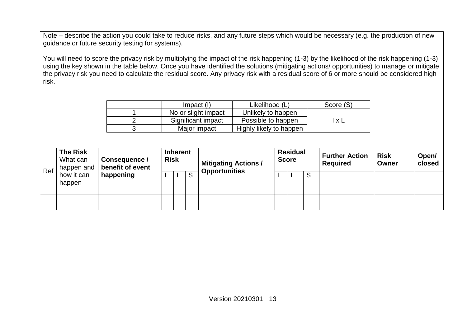Note – describe the action you could take to reduce risks, and any future steps which would be necessary (e.g. the production of new guidance or future security testing for systems).

You will need to score the privacy risk by multiplying the impact of the risk happening (1-3) by the likelihood of the risk happening (1-3) using the key shown in the table below. Once you have identified the solutions (mitigating actions/ opportunities) to manage or mitigate the privacy risk you need to calculate the residual score. Any privacy risk with a residual score of 6 or more should be considered high risk.

| $Im$ pact $(l)$     | Likelihood (L)          | Score (S)    |
|---------------------|-------------------------|--------------|
| No or slight impact | Unlikely to happen      |              |
| Significant impact  | Possible to happen      | $\mathbf{v}$ |
| Major impact        | Highly likely to happen |              |

| Ref | <b>The Risk</b><br>What can<br>happen and | Consequence /<br>benefit of event | <b>Risk</b> | <b>Inherent</b> |   | <b>Mitigating Actions /</b> | <b>Residual</b><br><b>Score</b> |   | <b>Further Action</b><br><b>Required</b> | <b>Risk</b><br>Owner | Open/<br>closed |
|-----|-------------------------------------------|-----------------------------------|-------------|-----------------|---|-----------------------------|---------------------------------|---|------------------------------------------|----------------------|-----------------|
|     | how it can<br>happen                      | happening                         |             | ۰               | S | <b>Opportunities</b>        | ۰                               | S |                                          |                      |                 |
|     |                                           |                                   |             |                 |   |                             |                                 |   |                                          |                      |                 |
|     |                                           |                                   |             |                 |   |                             |                                 |   |                                          |                      |                 |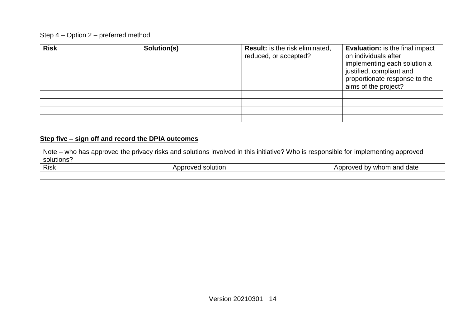### Step 4 – Option 2 – preferred method

| <b>Risk</b> | Solution(s) | <b>Result:</b> is the risk eliminated,<br>reduced, or accepted? | <b>Evaluation:</b> is the final impact<br>on individuals after<br>implementing each solution a<br>justified, compliant and<br>proportionate response to the<br>aims of the project? |
|-------------|-------------|-----------------------------------------------------------------|-------------------------------------------------------------------------------------------------------------------------------------------------------------------------------------|
|             |             |                                                                 |                                                                                                                                                                                     |
|             |             |                                                                 |                                                                                                                                                                                     |
|             |             |                                                                 |                                                                                                                                                                                     |
|             |             |                                                                 |                                                                                                                                                                                     |

### **Step five – sign off and record the DPIA outcomes**

| Note – who has approved the privacy risks and solutions involved in this initiative? Who is responsible for implementing approved<br>solutions? |                   |                           |  |  |
|-------------------------------------------------------------------------------------------------------------------------------------------------|-------------------|---------------------------|--|--|
| <b>Risk</b>                                                                                                                                     | Approved solution | Approved by whom and date |  |  |
|                                                                                                                                                 |                   |                           |  |  |
|                                                                                                                                                 |                   |                           |  |  |
|                                                                                                                                                 |                   |                           |  |  |
|                                                                                                                                                 |                   |                           |  |  |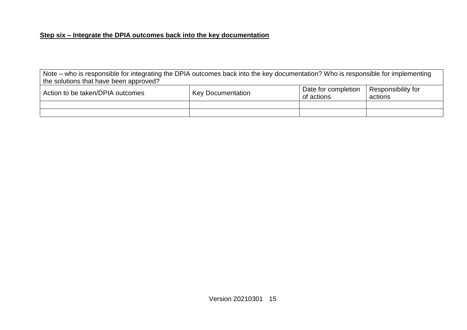### **Step six – Integrate the DPIA outcomes back into the key documentation**

Note – who is responsible for integrating the DPIA outcomes back into the key documentation? Who is responsible for implementing the solutions that have been approved?

| Action to be taken/DPIA outcomes | <b>Key Documentation</b> | Date for completion<br>of actions | <sup>1</sup> Responsibility for<br>actions |
|----------------------------------|--------------------------|-----------------------------------|--------------------------------------------|
|                                  |                          |                                   |                                            |
|                                  |                          |                                   |                                            |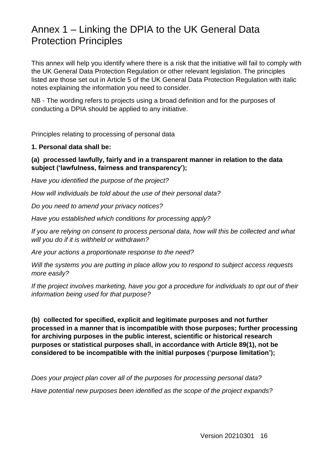# <span id="page-16-0"></span>Annex 1 – Linking the DPIA to the UK General Data Protection Principles

This annex will help you identify where there is a risk that the initiative will fail to comply with the UK General Data Protection Regulation or other relevant legislation. The principles listed are those set out in Article 5 of the UK General Data Protection Regulation with italic notes explaining the information you need to consider.

NB - The wording refers to projects using a broad definition and for the purposes of conducting a DPIA should be applied to any initiative.

Principles relating to processing of personal data

**1. Personal data shall be:** 

### **(a) processed lawfully, fairly and in a transparent manner in relation to the data subject ('lawfulness, fairness and transparency');**

*Have you identified the purpose of the project?* 

*How will individuals be told about the use of their personal data?* 

*Do you need to amend your privacy notices?* 

*Have you established which conditions for processing apply?* 

*If you are relying on consent to process personal data, how will this be collected and what will you do if it is withheld or withdrawn?* 

*Are your actions a proportionate response to the need?* 

*Will the systems you are putting in place allow you to respond to subject access requests more easily?* 

*If the project involves marketing, have you got a procedure for individuals to opt out of their information being used for that purpose?* 

**(b) collected for specified, explicit and legitimate purposes and not further processed in a manner that is incompatible with those purposes; further processing for archiving purposes in the public interest, scientific or historical research purposes or statistical purposes shall, in accordance with Article 89(1), not be considered to be incompatible with the initial purposes ('purpose limitation');** 

*Does your project plan cover all of the purposes for processing personal data? Have potential new purposes been identified as the scope of the project expands?*